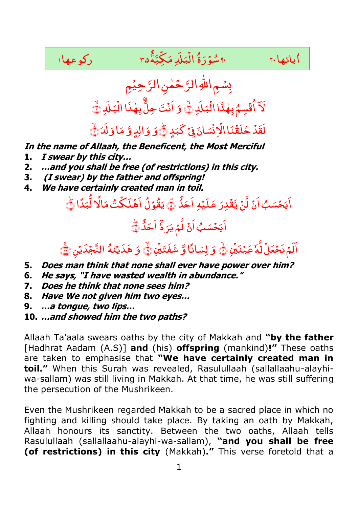

- **1. I swear by this city…**
- **2. …and you shall be free (of restrictions) in this city.**
- **3. (I swear) by the father and offspring!**
- **4. We have certainly created man in toil.**

## دِرَ عَلَيْهِ اَ<mark>حَ</mark>دُّ <u>ّ</u> اَيَحۡسَبُ اَنۡ لَّنۡ يَّقۡدِرَ عَلَيۡهِ اَحَدُّ ۞ يَقُوۡلُ اَهۡلَكۡتُ مَالًا لَّٰبَدًا ﴿ ؕ.<br>أ تُ مَا<mark>لَ</mark>ا لُّبَ ْ ِ یَقُوۡلُ اَهۡلَکۡتُ مَالَا لُّبَدًا نُّے ؕ ﴿ ٌ د َ َ ا ۤ ه .<br>ا اَ یَحۡسَبُ اَنۡ لَّمۡ یَرَہٗۤ اَحَدُّ ﴾ ۙ ﴿ ِ , ِّ<br>ل<sup>َّ</sup>لاً عَیۡنَبۡنِ اَلَمۡ نَجۡعَلۡ لَّمۡ عَیۡنَیۡنِۚ ۞ وَ لِسَانًا وَّ شَفَتَیۡنِۚ وَۚ , ادًا وَّ شَفَتَيْنِ وَ لِسَانًا وَّ شَفَتَيۡنِ۞ وَ هَدَيۡنٰمُ النَّجۡدَيۡنِ۞

- **5. Does man think that none shall ever have power over him?**
- **6. He says, "I have wasted wealth in abundance."**
- **7. Does he think that none sees him?**
- **8. Have We not given him two eyes…**
- **9. …a tongue, two lips…**
- **10. …and showed him the two paths?**

Allaah Ta'aala swears oaths by the city of Makkah and **"by the father**  [Hadhrat Aadam (A.S)] **and** (his) **offspring** (mankind)**!"** These oaths are taken to emphasise that **"We have certainly created man in toil."** When this Surah was revealed, Rasulullaah (sallallaahu-alayhiwa-sallam) was still living in Makkah. At that time, he was still suffering the persecution of the Mushrikeen.

Even the Mushrikeen regarded Makkah to be a sacred place in which no fighting and killing should take place. By taking an oath by Makkah, Allaah honours its sanctity. Between the two oaths, Allaah tells Rasulullaah (sallallaahu-alayhi-wa-sallam), **"and you shall be free (of restrictions) in this city** (Makkah)**."** This verse foretold that a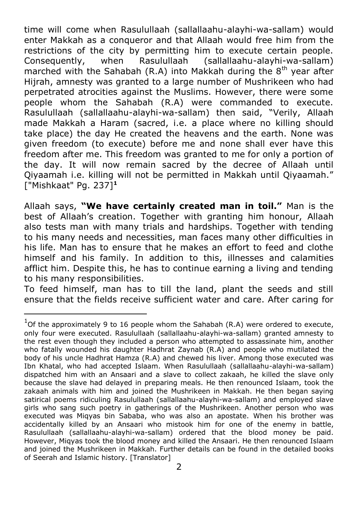time will come when Rasulullaah (sallallaahu-alayhi-wa-sallam) would enter Makkah as a conqueror and that Allaah would free him from the restrictions of the city by permitting him to execute certain people. Consequently, when Rasulullaah (sallallaahu-alayhi-wa-sallam) marched with the Sahabah (R.A) into Makkah during the  $8<sup>th</sup>$  year after Hijrah, amnesty was granted to a large number of Mushrikeen who had perpetrated atrocities against the Muslims. However, there were some people whom the Sahabah (R.A) were commanded to execute. Rasulullaah (sallallaahu-alayhi-wa-sallam) then said, "Verily, Allaah made Makkah a Haram (sacred, i.e. a place where no killing should take place) the day He created the heavens and the earth. None was given freedom (to execute) before me and none shall ever have this freedom after me. This freedom was granted to me for only a portion of the day. It will now remain sacred by the decree of Allaah until Qiyaamah i.e. killing will not be permitted in Makkah until Qiyaamah." ["Mishkaat" Pg. 237]**<sup>1</sup>**

Allaah says, **"We have certainly created man in toil."** Man is the best of Allaah's creation. Together with granting him honour, Allaah also tests man with many trials and hardships. Together with tending to his many needs and necessities, man faces many other difficulties in his life. Man has to ensure that he makes an effort to feed and clothe himself and his family. In addition to this, illnesses and calamities afflict him. Despite this, he has to continue earning a living and tending to his many responsibilities.

To feed himself, man has to till the land, plant the seeds and still ensure that the fields receive sufficient water and care. After caring for

-

 $1$ Of the approximately 9 to 16 people whom the Sahabah (R.A) were ordered to execute, only four were executed. Rasulullaah (sallallaahu-alayhi-wa-sallam) granted amnesty to the rest even though they included a person who attempted to assassinate him, another who fatally wounded his daughter Hadhrat Zaynab (R.A) and people who mutilated the body of his uncle Hadhrat Hamza (R.A) and chewed his liver. Among those executed was Ibn Khatal, who had accepted Islaam. When Rasulullaah (sallallaahu-alayhi-wa-sallam) dispatched him with an Ansaari and a slave to collect zakaah, he killed the slave only because the slave had delayed in preparing meals. He then renounced Islaam, took the zakaah animals with him and joined the Mushrikeen in Makkah. He then began saying satirical poems ridiculing Rasulullaah (sallallaahu-alayhi-wa-sallam) and employed slave girls who sang such poetry in gatherings of the Mushrikeen. Another person who was executed was Miqyas bin Sababa, who was also an apostate. When his brother was accidentally killed by an Ansaari who mistook him for one of the enemy in battle, Rasulullaah (sallallaahu-alayhi-wa-sallam) ordered that the blood money be paid. However, Miqyas took the blood money and killed the Ansaari. He then renounced Islaam and joined the Mushrikeen in Makkah. Further details can be found in the detailed books of Seerah and Islamic history. [Translator]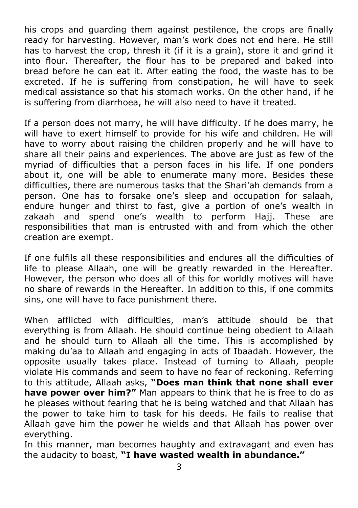his crops and guarding them against pestilence, the crops are finally ready for harvesting. However, man's work does not end here. He still has to harvest the crop, thresh it (if it is a grain), store it and grind it into flour. Thereafter, the flour has to be prepared and baked into bread before he can eat it. After eating the food, the waste has to be excreted. If he is suffering from constipation, he will have to seek medical assistance so that his stomach works. On the other hand, if he is suffering from diarrhoea, he will also need to have it treated.

If a person does not marry, he will have difficulty. If he does marry, he will have to exert himself to provide for his wife and children. He will have to worry about raising the children properly and he will have to share all their pains and experiences. The above are just as few of the myriad of difficulties that a person faces in his life. If one ponders about it, one will be able to enumerate many more. Besides these difficulties, there are numerous tasks that the Shari'ah demands from a person. One has to forsake one's sleep and occupation for salaah, endure hunger and thirst to fast, give a portion of one's wealth in zakaah and spend one's wealth to perform Hajj. These are responsibilities that man is entrusted with and from which the other creation are exempt.

If one fulfils all these responsibilities and endures all the difficulties of life to please Allaah, one will be greatly rewarded in the Hereafter. However, the person who does all of this for worldly motives will have no share of rewards in the Hereafter. In addition to this, if one commits sins, one will have to face punishment there.

When afflicted with difficulties, man's attitude should be that everything is from Allaah. He should continue being obedient to Allaah and he should turn to Allaah all the time. This is accomplished by making du'aa to Allaah and engaging in acts of Ibaadah. However, the opposite usually takes place. Instead of turning to Allaah, people violate His commands and seem to have no fear of reckoning. Referring to this attitude, Allaah asks, **"Does man think that none shall ever have power over him?"** Man appears to think that he is free to do as he pleases without fearing that he is being watched and that Allaah has the power to take him to task for his deeds. He fails to realise that Allaah gave him the power he wields and that Allaah has power over everything.

In this manner, man becomes haughty and extravagant and even has the audacity to boast, **"I have wasted wealth in abundance."**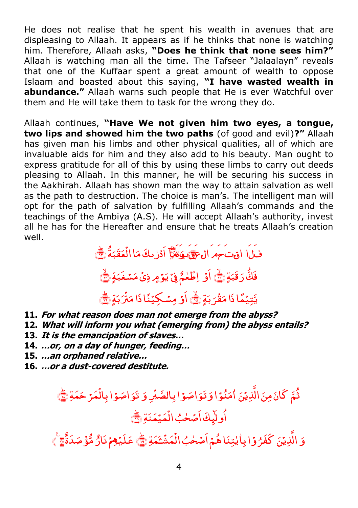He does not realise that he spent his wealth in avenues that are displeasing to Allaah. It appears as if he thinks that none is watching him. Therefore, Allaah asks, **"Does he think that none sees him?"**  Allaah is watching man all the time. The Tafseer "Jalaalayn" reveals that one of the Kuffaar spent a great amount of wealth to oppose Islaam and boasted about this saying, **"I have wasted wealth in abundance."** Allaah warns such people that He is ever Watchful over them and He will take them to task for the wrong they do.

Allaah continues, **"Have We not given him two eyes, a tongue, two lips and showed him the two paths** (of good and evil)**?"** Allaah has given man his limbs and other physical qualities, all of which are invaluable aids for him and they also add to his beauty. Man ought to express gratitude for all of this by using these limbs to carry out deeds pleasing to Allaah. In this manner, he will be securing his success in the Aakhirah. Allaah has shown man the way to attain salvation as well as the path to destruction. The choice is man's. The intelligent man will opt for the path of salvation by fulfilling Allaah's commands and the teachings of the Ambiya (A.S). He will accept Allaah's authority, invest all he has for the Hereafter and ensure that he treats Allaah's creation well.

فَالَمَا اقْتَحَمَّ الْحَقَّيْقَا الَّهُ الْأَرْبَكَ مَا الْعَقَبَةُ لَيْ ٔ. ب َ ق َ ع ْ .<br>اد<sub>َ</sub>رْىڭ مَا الُّ .<br>پ وَة أَوَّا ادْرُ حَكَ مَا الْعَقَبَةُ ٢ ۙ ٍۃ ﴿ َ فَكَّ رَقَبَةٍ ۞ اوۡ اِطۡعُمُۚ فِیۡ یَوۡ مِ ذِیۡ مَسۡغَبَةٍ ۞ اَوْ اِطَٰمُمُّ فِیۡ یَوۡمٍ ذِیۡ مَسۡغَبَةٍ کَ ۙ ٍۃ ﴿ َ ب ر<br>-ل ْ يَّتِيۡمًا ذَا مَقۡرَ بَةٍ ۞ أَوۡ مِسۡكِيۡنًا ذَا مَثۡرَبَةٍ ۞ ْ اَوۡ مِسۡکِیۡنَا ذَا مَنۡرَبَةٍ ۗ یَ

- **11. For what reason does man not emerge from the abyss?**
- **12. What will inform you what (emerging from) the abyss entails?**
- **13. It is the emancipation of slaves…**
- **14. …or, on a day of hunger, feeding…**
- **15. …an orphaned relative…**
- **16. …or a dust-covered destitute.**

## ۫ ْ اصَوًا بِ<mark>ال</mark>ُ َ َو ت َ ِ و ْ اصَوْا بِالصَّبْرِ ثُمَّ كَانَ مِنَ الَّذِيْنَ اٰمَنُوۡا وَتَوَاصَوۡا بِالصَّبۡرِ وَ تَوَاصَوۡا بِالۡمَرۡ حَمَةِ ﴾ ٰ ِ<br>مَيۡمَنَةِ <mark>ﷺ</mark> ْ اُولَيِكَ اَصْحٰبُ الْمَيْمَنَةِ ١

ؕ ِۃ ﴿ َ َ َٔـ ْ ر<br>مش ْ و<sub>َّ</sub>ا بِاٰيٰتِنَا هُمَ اَصۡحٰبُ الۡ ٰ وَ الَّذِيۡنَ كَفَرُوۡا بِاٰيٰتِنَا هُمۡ اَصۡحٰبُ الۡمَشۡءَمَةِ ﴾ عَلَيۡهِمۡ نَارُ مُّؤۡصَدَةٌ ﴾ ۚ ﴾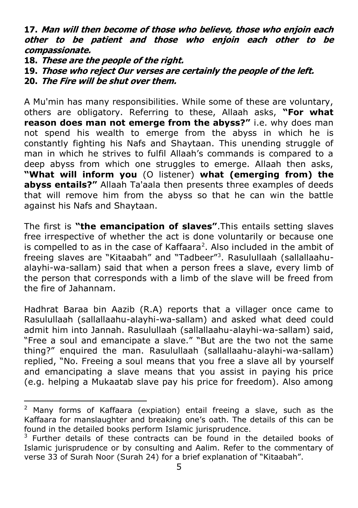**17. Man will then become of those who believe, those who enjoin each other to be patient and those who enjoin each other to be compassionate.** 

**18. These are the people of the right.**

**19. Those who reject Our verses are certainly the people of the left.**

**20. The Fire will be shut over them.**

A Mu'min has many responsibilities. While some of these are voluntary, others are obligatory. Referring to these, Allaah asks, **"For what reason does man not emerge from the abyss?"** i.e. why does man not spend his wealth to emerge from the abyss in which he is constantly fighting his Nafs and Shaytaan. This unending struggle of man in which he strives to fulfil Allaah's commands is compared to a deep abyss from which one struggles to emerge. Allaah then asks, **"What will inform you** (O listener) **what (emerging from) the abyss entails?"** Allaah Ta'aala then presents three examples of deeds that will remove him from the abyss so that he can win the battle against his Nafs and Shaytaan.

The first is **"the emancipation of slaves"**.This entails setting slaves free irrespective of whether the act is done voluntarily or because one is compelled to as in the case of Kaffaara<sup>2</sup>. Also included in the ambit of freeing slaves are "Kitaabah" and "Tadbeer"<sup>3</sup>. Rasulullaah (sallallaahualayhi-wa-sallam) said that when a person frees a slave, every limb of the person that corresponds with a limb of the slave will be freed from the fire of Jahannam.

Hadhrat Baraa bin Aazib (R.A) reports that a villager once came to Rasulullaah (sallallaahu-alayhi-wa-sallam) and asked what deed could admit him into Jannah. Rasulullaah (sallallaahu-alayhi-wa-sallam) said, "Free a soul and emancipate a slave." "But are the two not the same thing?" enquired the man. Rasulullaah (sallallaahu-alayhi-wa-sallam) replied, "No. Freeing a soul means that you free a slave all by yourself and emancipating a slave means that you assist in paying his price (e.g. helping a Mukaatab slave pay his price for freedom). Also among

 $2$  Many forms of Kaffaara (expiation) entail freeing a slave, such as the Kaffaara for manslaughter and breaking one's oath. The details of this can be found in the detailed books perform Islamic jurisprudence.

<sup>&</sup>lt;sup>3</sup> Further details of these contracts can be found in the detailed books of Islamic jurisprudence or by consulting and Aalim. Refer to the commentary of verse 33 of Surah Noor (Surah 24) for a brief explanation of "Kitaabah".